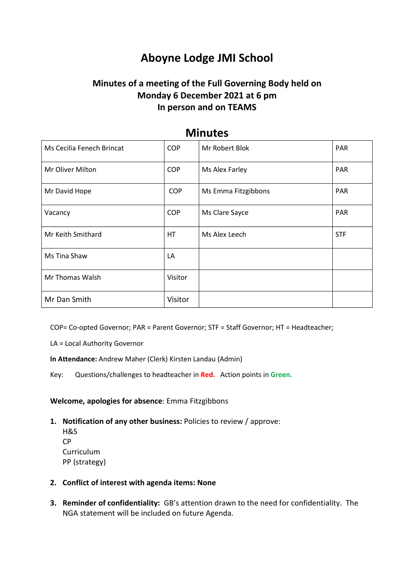# **Aboyne Lodge JMI School**

# **Minutes of a meeting of the Full Governing Body held on Monday 6 December 2021 at 6 pm In person and on TEAMS**

| .                         |            |                     |            |
|---------------------------|------------|---------------------|------------|
| Ms Cecilia Fenech Brincat | <b>COP</b> | Mr Robert Blok      | <b>PAR</b> |
| Mr Oliver Milton          | <b>COP</b> | Ms Alex Farley      | <b>PAR</b> |
| Mr David Hope             | <b>COP</b> | Ms Emma Fitzgibbons | <b>PAR</b> |
| Vacancy                   | <b>COP</b> | Ms Clare Sayce      | <b>PAR</b> |
| Mr Keith Smithard         | НT         | Ms Alex Leech       | <b>STF</b> |
| Ms Tina Shaw              | LA         |                     |            |
| Mr Thomas Walsh           | Visitor    |                     |            |
| Mr Dan Smith              | Visitor    |                     |            |

# **Minutes**

COP= Co-opted Governor; PAR = Parent Governor; STF = Staff Governor; HT = Headteacher;

LA = Local Authority Governor

**In Attendance:** Andrew Maher (Clerk) Kirsten Landau (Admin)

Key: Questions/challenges to headteacher in **Red.** Action points in **Green.**

**Welcome, apologies for absence**: Emma Fitzgibbons

- **1. Notification of any other business:** Policies to review / approve:
	- H&S CP **Curriculum** PP (strategy)
- **2. Conflict of interest with agenda items: None**
- **3. Reminder of confidentiality:** GB's attention drawn to the need for confidentiality. The NGA statement will be included on future Agenda.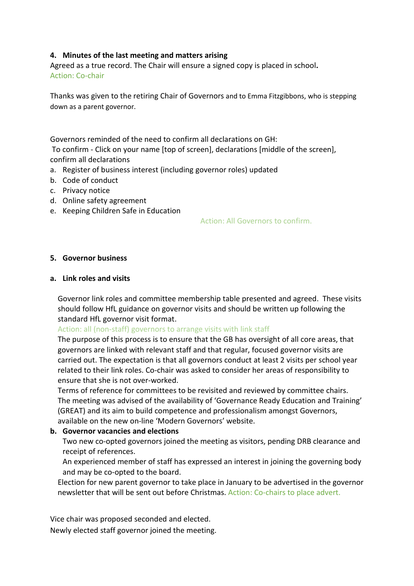### **4. Minutes of the last meeting and matters arising**

Agreed as a true record. The Chair will ensure a signed copy is placed in school**.**  Action: Co-chair

Thanks was given to the retiring Chair of Governors and to Emma Fitzgibbons, who is stepping down as a parent governor.

Governors reminded of the need to confirm all declarations on GH: To confirm - Click on your name [top of screen], declarations [middle of the screen], confirm all declarations

- a. Register of business interest (including governor roles) updated
- b. Code of conduct
- c. Privacy notice
- d. Online safety agreement
- e. Keeping Children Safe in Education

Action: All Governors to confirm.

#### **5. Governor business**

#### **a. Link roles and visits**

Governor link roles and committee membership table presented and agreed. These visits should follow HfL guidance on governor visits and should be written up following the standard HfL governor visit format.

#### Action: all (non-staff) governors to arrange visits with link staff

The purpose of this process is to ensure that the GB has oversight of all core areas, that governors are linked with relevant staff and that regular, focused governor visits are carried out. The expectation is that all governors conduct at least 2 visits per school year related to their link roles. Co-chair was asked to consider her areas of responsibility to ensure that she is not over-worked.

Terms of reference for committees to be revisited and reviewed by committee chairs. The meeting was advised of the availability of 'Governance Ready Education and Training' (GREAT) and its aim to build competence and professionalism amongst Governors, available on the new on-line 'Modern Governors' website.

#### **b. Governor vacancies and elections**

Two new co-opted governors joined the meeting as visitors, pending DRB clearance and receipt of references.

An experienced member of staff has expressed an interest in joining the governing body and may be co-opted to the board.

Election for new parent governor to take place in January to be advertised in the governor newsletter that will be sent out before Christmas. Action: Co-chairs to place advert.

Vice chair was proposed seconded and elected.

Newly elected staff governor joined the meeting.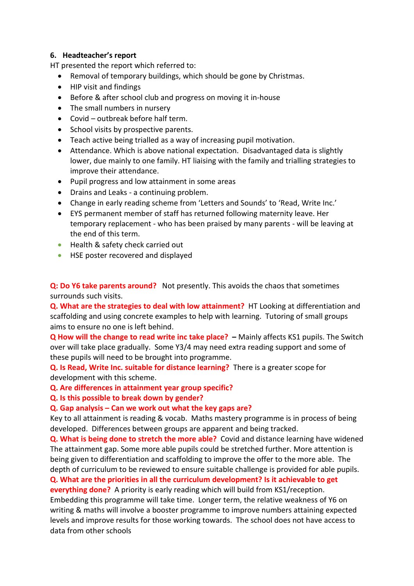### **6. Headteacher's report**

HT presented the report which referred to:

- Removal of temporary buildings, which should be gone by Christmas.
- HIP visit and findings
- Before & after school club and progress on moving it in-house
- The small numbers in nursery
- Covid outbreak before half term.
- School visits by prospective parents.
- Teach active being trialled as a way of increasing pupil motivation.
- Attendance. Which is above national expectation. Disadvantaged data is slightly lower, due mainly to one family. HT liaising with the family and trialling strategies to improve their attendance.
- Pupil progress and low attainment in some areas
- Drains and Leaks a continuing problem.
- Change in early reading scheme from 'Letters and Sounds' to 'Read, Write Inc.'
- EYS permanent member of staff has returned following maternity leave. Her temporary replacement - who has been praised by many parents - will be leaving at the end of this term.
- Health & safety check carried out
- **HSE poster recovered and displayed**

**Q: Do Y6 take parents around?** Not presently. This avoids the chaos that sometimes surrounds such visits.

**Q. What are the strategies to deal with low attainment?** HT Looking at differentiation and scaffolding and using concrete examples to help with learning. Tutoring of small groups aims to ensure no one is left behind.

**Q How will the change to read write inc take place? –** Mainly affects KS1 pupils. The Switch over will take place gradually. Some Y3/4 may need extra reading support and some of these pupils will need to be brought into programme.

**Q. Is Read, Write Inc. suitable for distance learning?** There is a greater scope for development with this scheme.

**Q. Are differences in attainment year group specific?** 

**Q. Is this possible to break down by gender?**

#### **Q. Gap analysis – Can we work out what the key gaps are?**

Key to all attainment is reading & vocab. Maths mastery programme is in process of being developed. Differences between groups are apparent and being tracked.

**Q. What is being done to stretch the more able?** Covid and distance learning have widened The attainment gap. Some more able pupils could be stretched further. More attention is being given to differentiation and scaffolding to improve the offer to the more able. The depth of curriculum to be reviewed to ensure suitable challenge is provided for able pupils. **Q. What are the priorities in all the curriculum development? Is it achievable to get**

**everything done?** A priority is early reading which will build from KS1/reception. Embedding this programme will take time.Longer term, the relative weakness of Y6 on writing & maths will involve a booster programme to improve numbers attaining expected levels and improve results for those working towards. The school does not have access to data from other schools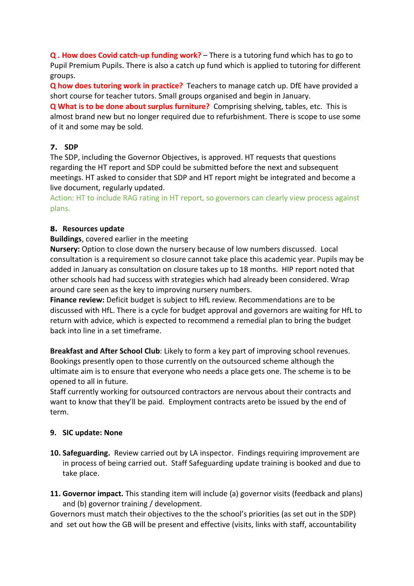**Q . How does Covid catch-up funding work?** – There is a tutoring fund which has to go to Pupil Premium Pupils. There is also a catch up fund which is applied to tutoring for different groups.

**Q how does tutoring work in practice?** Teachers to manage catch up. DfE have provided a short course for teacher tutors. Small groups organised and begin in January.

**Q What is to be done about surplus furniture?** Comprising shelving, tables, etc. This is almost brand new but no longer required due to refurbishment. There is scope to use some of it and some may be sold.

# **7. SDP**

The SDP, including the Governor Objectives, is approved. HT requests that questions regarding the HT report and SDP could be submitted before the next and subsequent meetings. HT asked to consider that SDP and HT report might be integrated and become a live document, regularly updated.

Action: HT to include RAG rating in HT report, so governors can clearly view process against plans.

# **8. Resources update**

# **Buildings**, covered earlier in the meeting

**Nursery:** Option to close down the nursery because of low numbers discussed. Local consultation is a requirement so closure cannot take place this academic year. Pupils may be added in January as consultation on closure takes up to 18 months. HIP report noted that other schools had had success with strategies which had already been considered. Wrap around care seen as the key to improving nursery numbers.

**Finance review:** Deficit budget is subject to HfL review. Recommendations are to be discussed with HfL. There is a cycle for budget approval and governors are waiting for HfL to return with advice, which is expected to recommend a remedial plan to bring the budget back into line in a set timeframe.

**Breakfast and After School Club**: Likely to form a key part of improving school revenues. Bookings presently open to those currently on the outsourced scheme although the ultimate aim is to ensure that everyone who needs a place gets one. The scheme is to be opened to all in future.

Staff currently working for outsourced contractors are nervous about their contracts and want to know that they'll be paid. Employment contracts areto be issued by the end of term.

# **9. SIC update: None**

- **10. Safeguarding.** Review carried out by LA inspector. Findings requiring improvement are in process of being carried out. Staff Safeguarding update training is booked and due to take place.
- **11. Governor impact.** This standing item will include (a) governor visits (feedback and plans) and (b) governor training / development.

Governors must match their objectives to the the school's priorities (as set out in the SDP) and set out how the GB will be present and effective (visits, links with staff, accountability